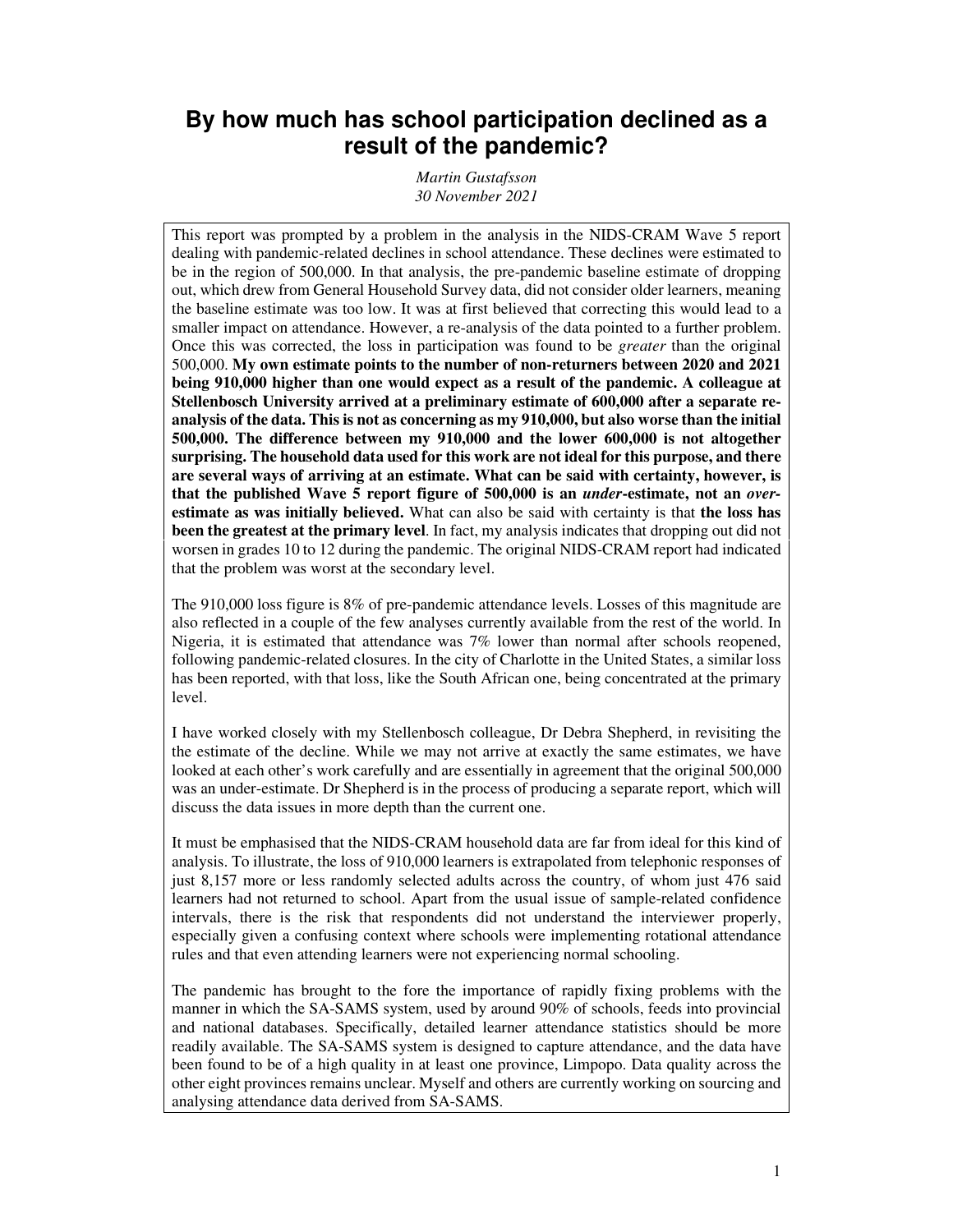# **By how much has school participation declined as a result of the pandemic?**

*Martin Gustafsson 30 November 2021* 

This report was prompted by a problem in the analysis in the NIDS-CRAM Wave 5 report dealing with pandemic-related declines in school attendance. These declines were estimated to be in the region of 500,000. In that analysis, the pre-pandemic baseline estimate of dropping out, which drew from General Household Survey data, did not consider older learners, meaning the baseline estimate was too low. It was at first believed that correcting this would lead to a smaller impact on attendance. However, a re-analysis of the data pointed to a further problem. Once this was corrected, the loss in participation was found to be *greater* than the original 500,000. **My own estimate points to the number of non-returners between 2020 and 2021 being 910,000 higher than one would expect as a result of the pandemic. A colleague at Stellenbosch University arrived at a preliminary estimate of 600,000 after a separate reanalysis of the data. This is not as concerning as my 910,000, but also worse than the initial 500,000. The difference between my 910,000 and the lower 600,000 is not altogether surprising. The household data used for this work are not ideal for this purpose, and there are several ways of arriving at an estimate. What can be said with certainty, however, is that the published Wave 5 report figure of 500,000 is an** *under***-estimate, not an** *over***estimate as was initially believed.** What can also be said with certainty is that **the loss has been the greatest at the primary level**. In fact, my analysis indicates that dropping out did not worsen in grades 10 to 12 during the pandemic. The original NIDS-CRAM report had indicated that the problem was worst at the secondary level.

The 910,000 loss figure is 8% of pre-pandemic attendance levels. Losses of this magnitude are also reflected in a couple of the few analyses currently available from the rest of the world. In Nigeria, it is estimated that attendance was 7% lower than normal after schools reopened, following pandemic-related closures. In the city of Charlotte in the United States, a similar loss has been reported, with that loss, like the South African one, being concentrated at the primary level.

I have worked closely with my Stellenbosch colleague, Dr Debra Shepherd, in revisiting the the estimate of the decline. While we may not arrive at exactly the same estimates, we have looked at each other's work carefully and are essentially in agreement that the original 500,000 was an under-estimate. Dr Shepherd is in the process of producing a separate report, which will discuss the data issues in more depth than the current one.

It must be emphasised that the NIDS-CRAM household data are far from ideal for this kind of analysis. To illustrate, the loss of 910,000 learners is extrapolated from telephonic responses of just 8,157 more or less randomly selected adults across the country, of whom just 476 said learners had not returned to school. Apart from the usual issue of sample-related confidence intervals, there is the risk that respondents did not understand the interviewer properly, especially given a confusing context where schools were implementing rotational attendance rules and that even attending learners were not experiencing normal schooling.

The pandemic has brought to the fore the importance of rapidly fixing problems with the manner in which the SA-SAMS system, used by around 90% of schools, feeds into provincial and national databases. Specifically, detailed learner attendance statistics should be more readily available. The SA-SAMS system is designed to capture attendance, and the data have been found to be of a high quality in at least one province, Limpopo. Data quality across the other eight provinces remains unclear. Myself and others are currently working on sourcing and analysing attendance data derived from SA-SAMS.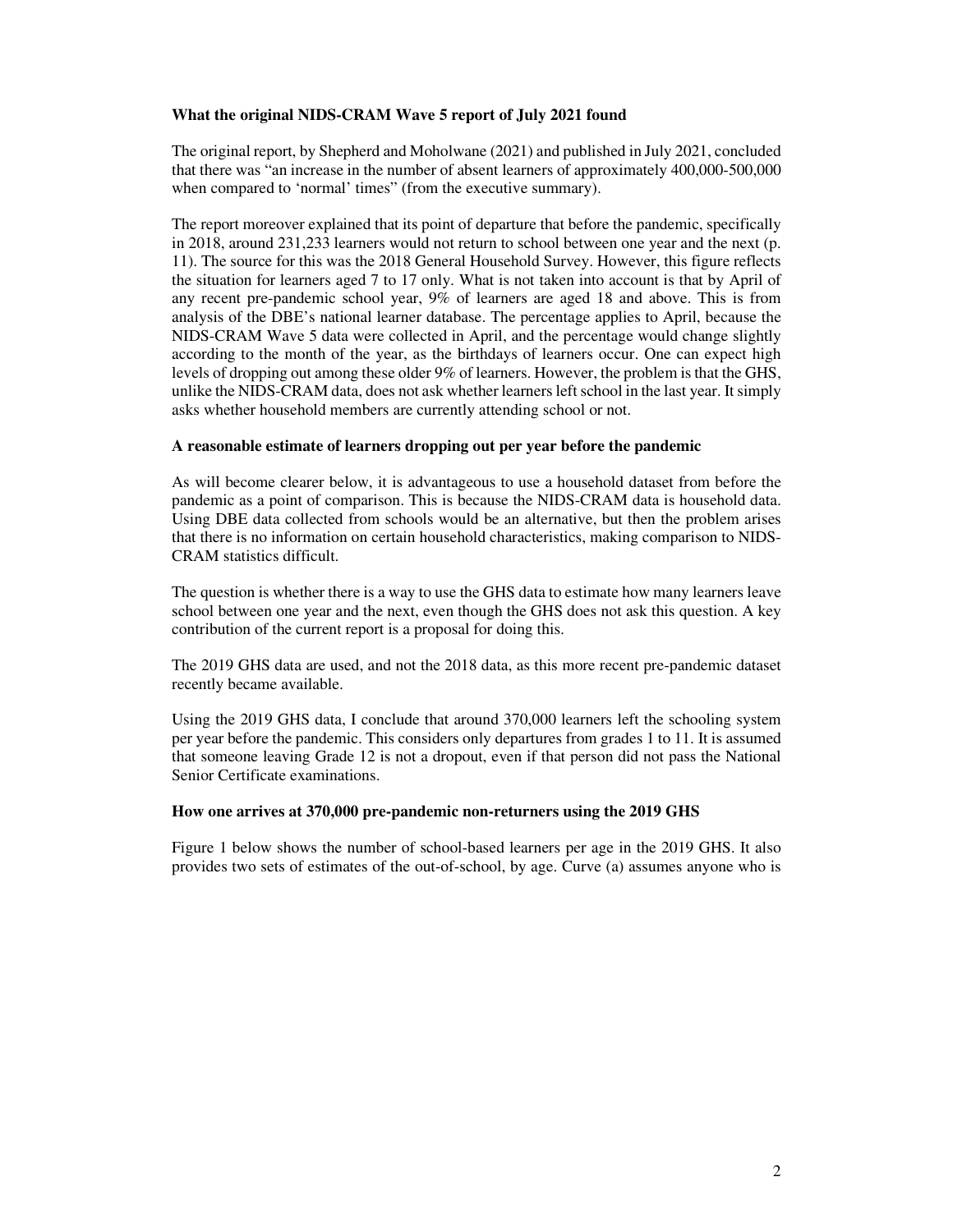# **What the original NIDS-CRAM Wave 5 report of July 2021 found**

The original report, by Shepherd and Moholwane (2021) and published in July 2021, concluded that there was "an increase in the number of absent learners of approximately 400,000-500,000 when compared to 'normal' times" (from the executive summary).

The report moreover explained that its point of departure that before the pandemic, specifically in 2018, around 231,233 learners would not return to school between one year and the next (p. 11). The source for this was the 2018 General Household Survey. However, this figure reflects the situation for learners aged 7 to 17 only. What is not taken into account is that by April of any recent pre-pandemic school year, 9% of learners are aged 18 and above. This is from analysis of the DBE's national learner database. The percentage applies to April, because the NIDS-CRAM Wave 5 data were collected in April, and the percentage would change slightly according to the month of the year, as the birthdays of learners occur. One can expect high levels of dropping out among these older 9% of learners. However, the problem is that the GHS, unlike the NIDS-CRAM data, does not ask whether learners left school in the last year. It simply asks whether household members are currently attending school or not.

### **A reasonable estimate of learners dropping out per year before the pandemic**

As will become clearer below, it is advantageous to use a household dataset from before the pandemic as a point of comparison. This is because the NIDS-CRAM data is household data. Using DBE data collected from schools would be an alternative, but then the problem arises that there is no information on certain household characteristics, making comparison to NIDS-CRAM statistics difficult.

The question is whether there is a way to use the GHS data to estimate how many learners leave school between one year and the next, even though the GHS does not ask this question. A key contribution of the current report is a proposal for doing this.

The 2019 GHS data are used, and not the 2018 data, as this more recent pre-pandemic dataset recently became available.

Using the 2019 GHS data, I conclude that around 370,000 learners left the schooling system per year before the pandemic. This considers only departures from grades 1 to 11. It is assumed that someone leaving Grade 12 is not a dropout, even if that person did not pass the National Senior Certificate examinations.

#### **How one arrives at 370,000 pre-pandemic non-returners using the 2019 GHS**

Figure 1 below shows the number of school-based learners per age in the 2019 GHS. It also provides two sets of estimates of the out-of-school, by age. Curve (a) assumes anyone who is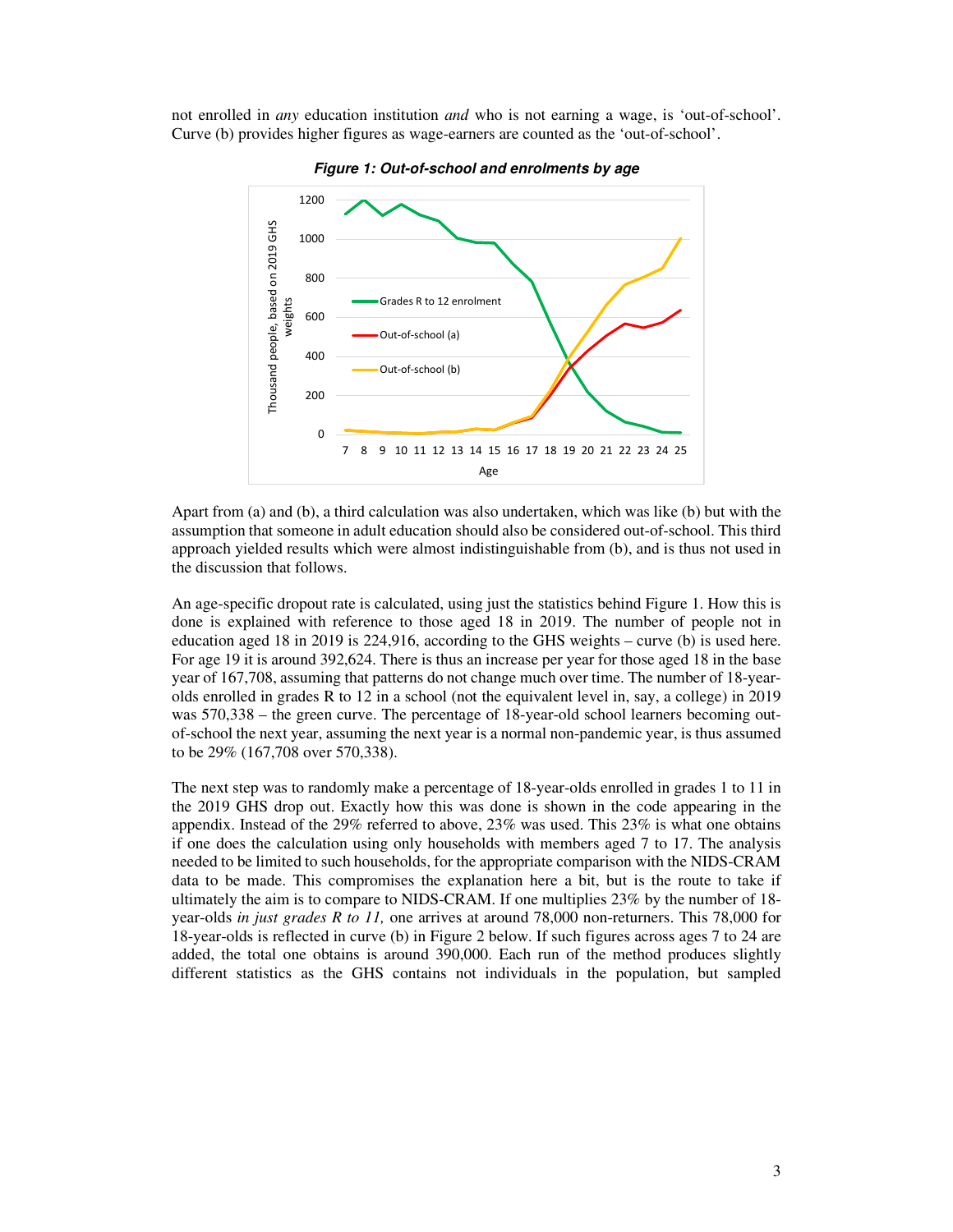not enrolled in *any* education institution *and* who is not earning a wage, is 'out-of-school'. Curve (b) provides higher figures as wage-earners are counted as the 'out-of-school'.



**Figure 1: Out-of-school and enrolments by age** 

Apart from (a) and (b), a third calculation was also undertaken, which was like (b) but with the assumption that someone in adult education should also be considered out-of-school. This third approach yielded results which were almost indistinguishable from (b), and is thus not used in the discussion that follows.

An age-specific dropout rate is calculated, using just the statistics behind Figure 1. How this is done is explained with reference to those aged 18 in 2019. The number of people not in education aged 18 in 2019 is 224,916, according to the GHS weights – curve (b) is used here. For age 19 it is around 392,624. There is thus an increase per year for those aged 18 in the base year of 167,708, assuming that patterns do not change much over time. The number of 18-yearolds enrolled in grades R to 12 in a school (not the equivalent level in, say, a college) in 2019 was 570,338 – the green curve. The percentage of 18-year-old school learners becoming outof-school the next year, assuming the next year is a normal non-pandemic year, is thus assumed to be 29% (167,708 over 570,338).

The next step was to randomly make a percentage of 18-year-olds enrolled in grades 1 to 11 in the 2019 GHS drop out. Exactly how this was done is shown in the code appearing in the appendix. Instead of the 29% referred to above,  $23\%$  was used. This  $23\%$  is what one obtains if one does the calculation using only households with members aged 7 to 17. The analysis needed to be limited to such households, for the appropriate comparison with the NIDS-CRAM data to be made. This compromises the explanation here a bit, but is the route to take if ultimately the aim is to compare to NIDS-CRAM. If one multiplies 23% by the number of 18 year-olds *in just grades R to 11,* one arrives at around 78,000 non-returners. This 78,000 for 18-year-olds is reflected in curve (b) in Figure 2 below. If such figures across ages 7 to 24 are added, the total one obtains is around 390,000. Each run of the method produces slightly different statistics as the GHS contains not individuals in the population, but sampled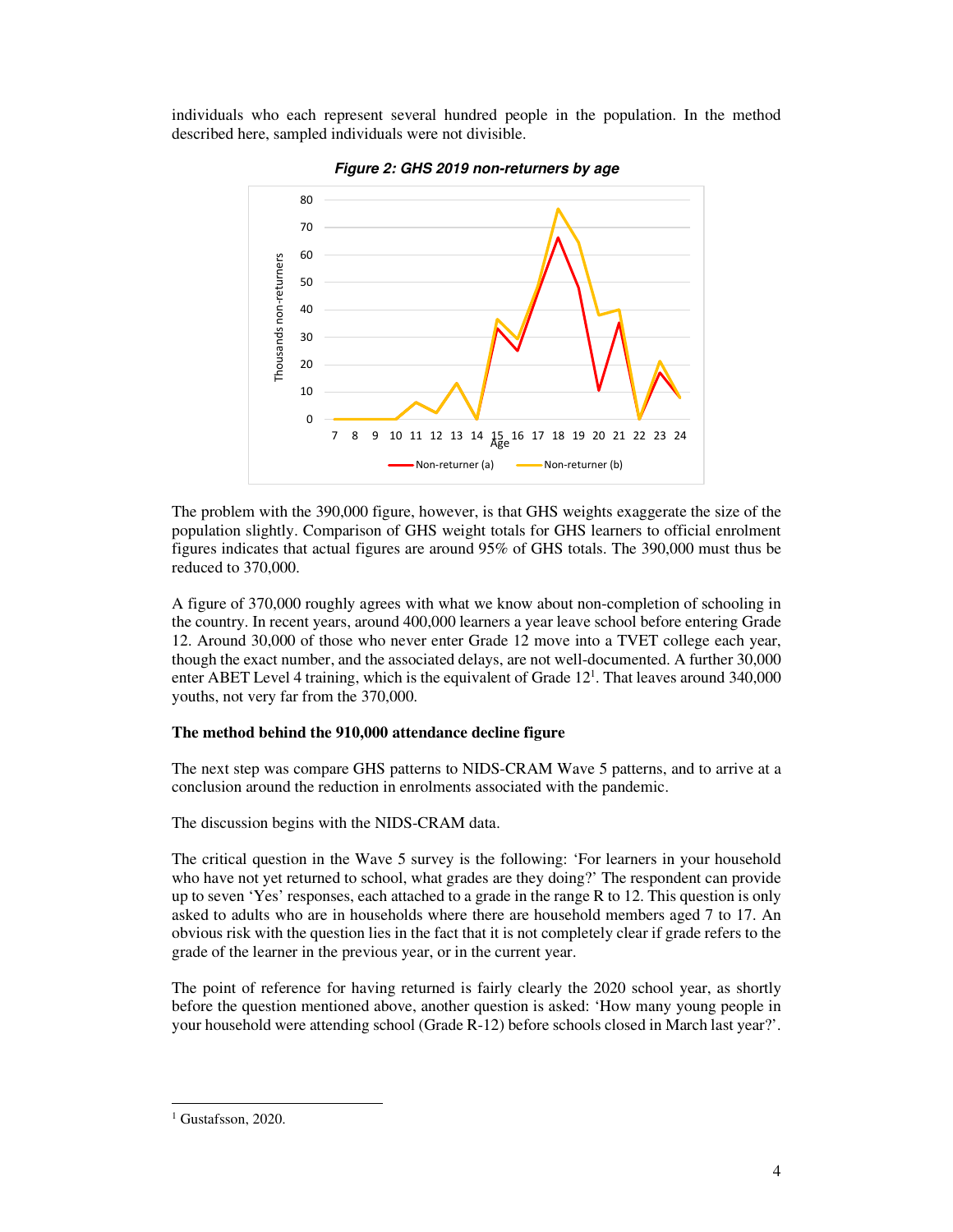individuals who each represent several hundred people in the population. In the method described here, sampled individuals were not divisible.





The problem with the 390,000 figure, however, is that GHS weights exaggerate the size of the population slightly. Comparison of GHS weight totals for GHS learners to official enrolment figures indicates that actual figures are around 95% of GHS totals. The 390,000 must thus be reduced to 370,000.

A figure of 370,000 roughly agrees with what we know about non-completion of schooling in the country. In recent years, around 400,000 learners a year leave school before entering Grade 12. Around 30,000 of those who never enter Grade 12 move into a TVET college each year, though the exact number, and the associated delays, are not well-documented. A further 30,000 enter ABET Level 4 training, which is the equivalent of Grade 12<sup>1</sup>. That leaves around 340,000 youths, not very far from the 370,000.

## **The method behind the 910,000 attendance decline figure**

The next step was compare GHS patterns to NIDS-CRAM Wave 5 patterns, and to arrive at a conclusion around the reduction in enrolments associated with the pandemic.

The discussion begins with the NIDS-CRAM data.

The critical question in the Wave 5 survey is the following: 'For learners in your household who have not yet returned to school, what grades are they doing?' The respondent can provide up to seven 'Yes' responses, each attached to a grade in the range R to 12. This question is only asked to adults who are in households where there are household members aged 7 to 17. An obvious risk with the question lies in the fact that it is not completely clear if grade refers to the grade of the learner in the previous year, or in the current year.

The point of reference for having returned is fairly clearly the 2020 school year, as shortly before the question mentioned above, another question is asked: 'How many young people in your household were attending school (Grade R-12) before schools closed in March last year?'.

<sup>&</sup>lt;sup>1</sup> Gustafsson, 2020.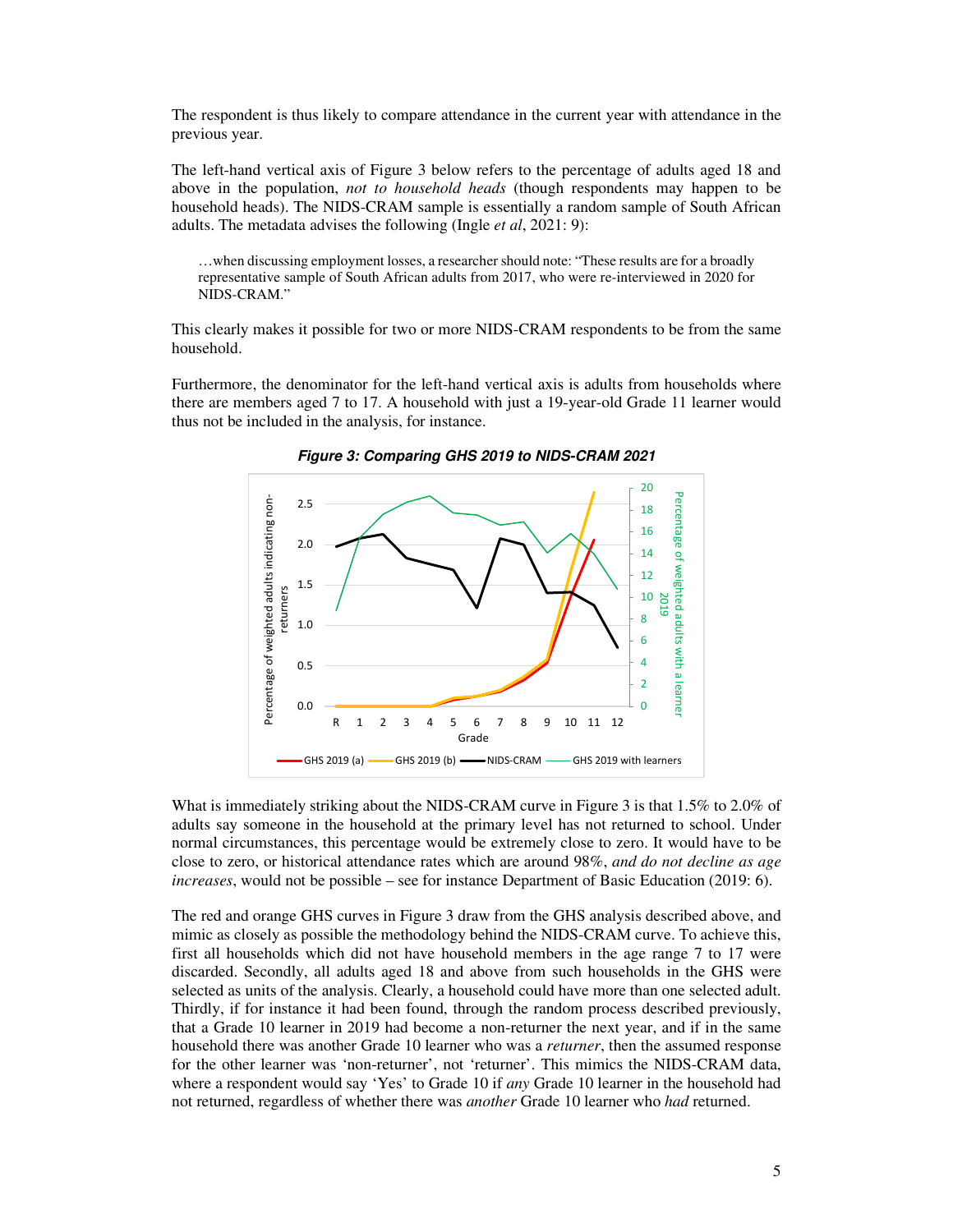The respondent is thus likely to compare attendance in the current year with attendance in the previous year.

The left-hand vertical axis of Figure 3 below refers to the percentage of adults aged 18 and above in the population, *not to household heads* (though respondents may happen to be household heads). The NIDS-CRAM sample is essentially a random sample of South African adults. The metadata advises the following (Ingle *et al*, 2021: 9):

…when discussing employment losses, a researcher should note: "These results are for a broadly representative sample of South African adults from 2017, who were re-interviewed in 2020 for NIDS-CRAM."

This clearly makes it possible for two or more NIDS-CRAM respondents to be from the same household.

Furthermore, the denominator for the left-hand vertical axis is adults from households where there are members aged 7 to 17. A household with just a 19-year-old Grade 11 learner would thus not be included in the analysis, for instance.



**Figure 3: Comparing GHS 2019 to NIDS-CRAM 2021** 

What is immediately striking about the NIDS-CRAM curve in Figure 3 is that 1.5% to 2.0% of adults say someone in the household at the primary level has not returned to school. Under normal circumstances, this percentage would be extremely close to zero. It would have to be close to zero, or historical attendance rates which are around 98%, *and do not decline as age increases*, would not be possible – see for instance Department of Basic Education (2019: 6).

The red and orange GHS curves in Figure 3 draw from the GHS analysis described above, and mimic as closely as possible the methodology behind the NIDS-CRAM curve. To achieve this, first all households which did not have household members in the age range 7 to 17 were discarded. Secondly, all adults aged 18 and above from such households in the GHS were selected as units of the analysis. Clearly, a household could have more than one selected adult. Thirdly, if for instance it had been found, through the random process described previously, that a Grade 10 learner in 2019 had become a non-returner the next year, and if in the same household there was another Grade 10 learner who was a *returner*, then the assumed response for the other learner was 'non-returner', not 'returner'. This mimics the NIDS-CRAM data, where a respondent would say 'Yes' to Grade 10 if *any* Grade 10 learner in the household had not returned, regardless of whether there was *another* Grade 10 learner who *had* returned.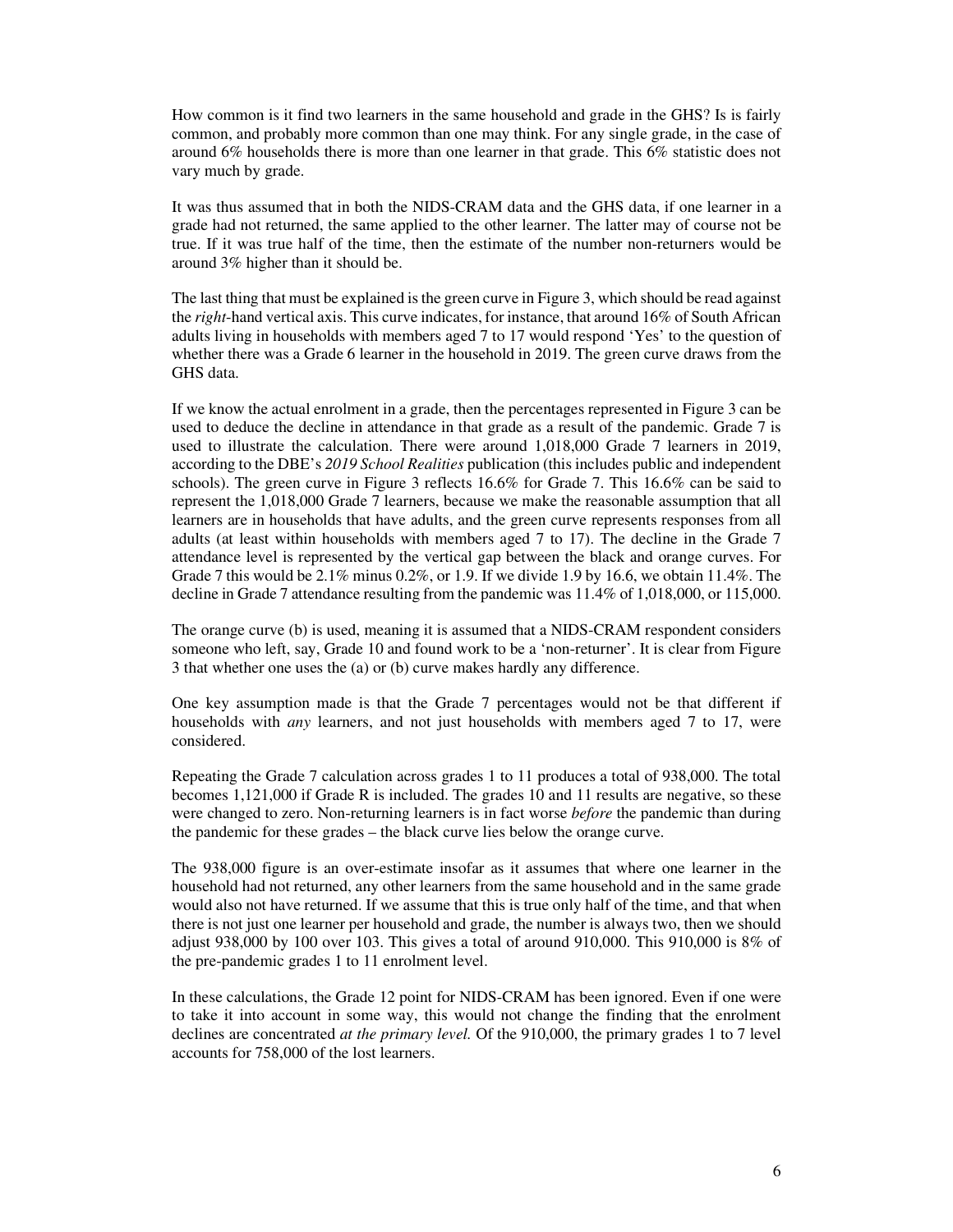How common is it find two learners in the same household and grade in the GHS? Is is fairly common, and probably more common than one may think. For any single grade, in the case of around 6% households there is more than one learner in that grade. This 6% statistic does not vary much by grade.

It was thus assumed that in both the NIDS-CRAM data and the GHS data, if one learner in a grade had not returned, the same applied to the other learner. The latter may of course not be true. If it was true half of the time, then the estimate of the number non-returners would be around 3% higher than it should be.

The last thing that must be explained is the green curve in Figure 3, which should be read against the *right*-hand vertical axis. This curve indicates, for instance, that around 16% of South African adults living in households with members aged 7 to 17 would respond 'Yes' to the question of whether there was a Grade 6 learner in the household in 2019. The green curve draws from the GHS data.

If we know the actual enrolment in a grade, then the percentages represented in Figure 3 can be used to deduce the decline in attendance in that grade as a result of the pandemic. Grade 7 is used to illustrate the calculation. There were around 1,018,000 Grade 7 learners in 2019, according to the DBE's *2019 School Realities* publication (this includes public and independent schools). The green curve in Figure 3 reflects 16.6% for Grade 7. This 16.6% can be said to represent the 1,018,000 Grade 7 learners, because we make the reasonable assumption that all learners are in households that have adults, and the green curve represents responses from all adults (at least within households with members aged 7 to 17). The decline in the Grade 7 attendance level is represented by the vertical gap between the black and orange curves. For Grade 7 this would be  $2.1\%$  minus  $0.2\%$ , or 1.9. If we divide 1.9 by 16.6, we obtain 11.4%. The decline in Grade 7 attendance resulting from the pandemic was 11.4% of 1,018,000, or 115,000.

The orange curve (b) is used, meaning it is assumed that a NIDS-CRAM respondent considers someone who left, say, Grade 10 and found work to be a 'non-returner'. It is clear from Figure 3 that whether one uses the (a) or (b) curve makes hardly any difference.

One key assumption made is that the Grade 7 percentages would not be that different if households with *any* learners, and not just households with members aged 7 to 17, were considered.

Repeating the Grade 7 calculation across grades 1 to 11 produces a total of 938,000. The total becomes 1,121,000 if Grade R is included. The grades 10 and 11 results are negative, so these were changed to zero. Non-returning learners is in fact worse *before* the pandemic than during the pandemic for these grades – the black curve lies below the orange curve.

The 938,000 figure is an over-estimate insofar as it assumes that where one learner in the household had not returned, any other learners from the same household and in the same grade would also not have returned. If we assume that this is true only half of the time, and that when there is not just one learner per household and grade, the number is always two, then we should adjust 938,000 by 100 over 103. This gives a total of around 910,000. This 910,000 is 8% of the pre-pandemic grades 1 to 11 enrolment level.

In these calculations, the Grade 12 point for NIDS-CRAM has been ignored. Even if one were to take it into account in some way, this would not change the finding that the enrolment declines are concentrated *at the primary level.* Of the 910,000, the primary grades 1 to 7 level accounts for 758,000 of the lost learners.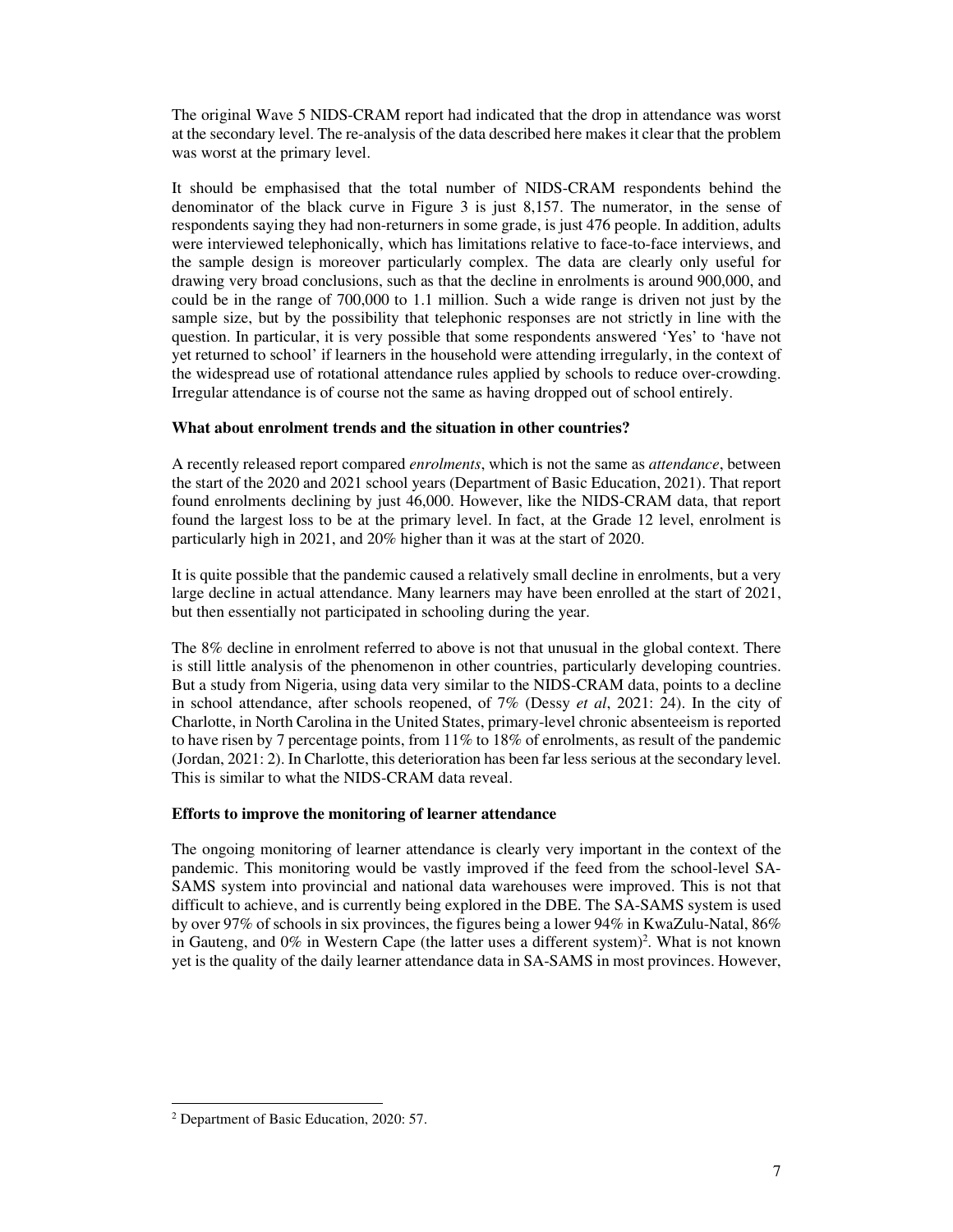The original Wave 5 NIDS-CRAM report had indicated that the drop in attendance was worst at the secondary level. The re-analysis of the data described here makes it clear that the problem was worst at the primary level.

It should be emphasised that the total number of NIDS-CRAM respondents behind the denominator of the black curve in Figure 3 is just 8,157. The numerator, in the sense of respondents saying they had non-returners in some grade, is just 476 people. In addition, adults were interviewed telephonically, which has limitations relative to face-to-face interviews, and the sample design is moreover particularly complex. The data are clearly only useful for drawing very broad conclusions, such as that the decline in enrolments is around 900,000, and could be in the range of 700,000 to 1.1 million. Such a wide range is driven not just by the sample size, but by the possibility that telephonic responses are not strictly in line with the question. In particular, it is very possible that some respondents answered 'Yes' to 'have not yet returned to school' if learners in the household were attending irregularly, in the context of the widespread use of rotational attendance rules applied by schools to reduce over-crowding. Irregular attendance is of course not the same as having dropped out of school entirely.

# **What about enrolment trends and the situation in other countries?**

A recently released report compared *enrolments*, which is not the same as *attendance*, between the start of the 2020 and 2021 school years (Department of Basic Education, 2021). That report found enrolments declining by just 46,000. However, like the NIDS-CRAM data, that report found the largest loss to be at the primary level. In fact, at the Grade 12 level, enrolment is particularly high in 2021, and 20% higher than it was at the start of 2020.

It is quite possible that the pandemic caused a relatively small decline in enrolments, but a very large decline in actual attendance. Many learners may have been enrolled at the start of 2021, but then essentially not participated in schooling during the year.

The 8% decline in enrolment referred to above is not that unusual in the global context. There is still little analysis of the phenomenon in other countries, particularly developing countries. But a study from Nigeria, using data very similar to the NIDS-CRAM data, points to a decline in school attendance, after schools reopened, of 7% (Dessy *et al*, 2021: 24). In the city of Charlotte, in North Carolina in the United States, primary-level chronic absenteeism is reported to have risen by 7 percentage points, from 11% to 18% of enrolments, as result of the pandemic (Jordan, 2021: 2). In Charlotte, this deterioration has been far less serious at the secondary level. This is similar to what the NIDS-CRAM data reveal.

# **Efforts to improve the monitoring of learner attendance**

The ongoing monitoring of learner attendance is clearly very important in the context of the pandemic. This monitoring would be vastly improved if the feed from the school-level SA-SAMS system into provincial and national data warehouses were improved. This is not that difficult to achieve, and is currently being explored in the DBE. The SA-SAMS system is used by over 97% of schools in six provinces, the figures being a lower 94% in KwaZulu-Natal, 86% in Gauteng, and  $0\%$  in Western Cape (the latter uses a different system)<sup>2</sup>. What is not known yet is the quality of the daily learner attendance data in SA-SAMS in most provinces. However,

<sup>2</sup> Department of Basic Education, 2020: 57.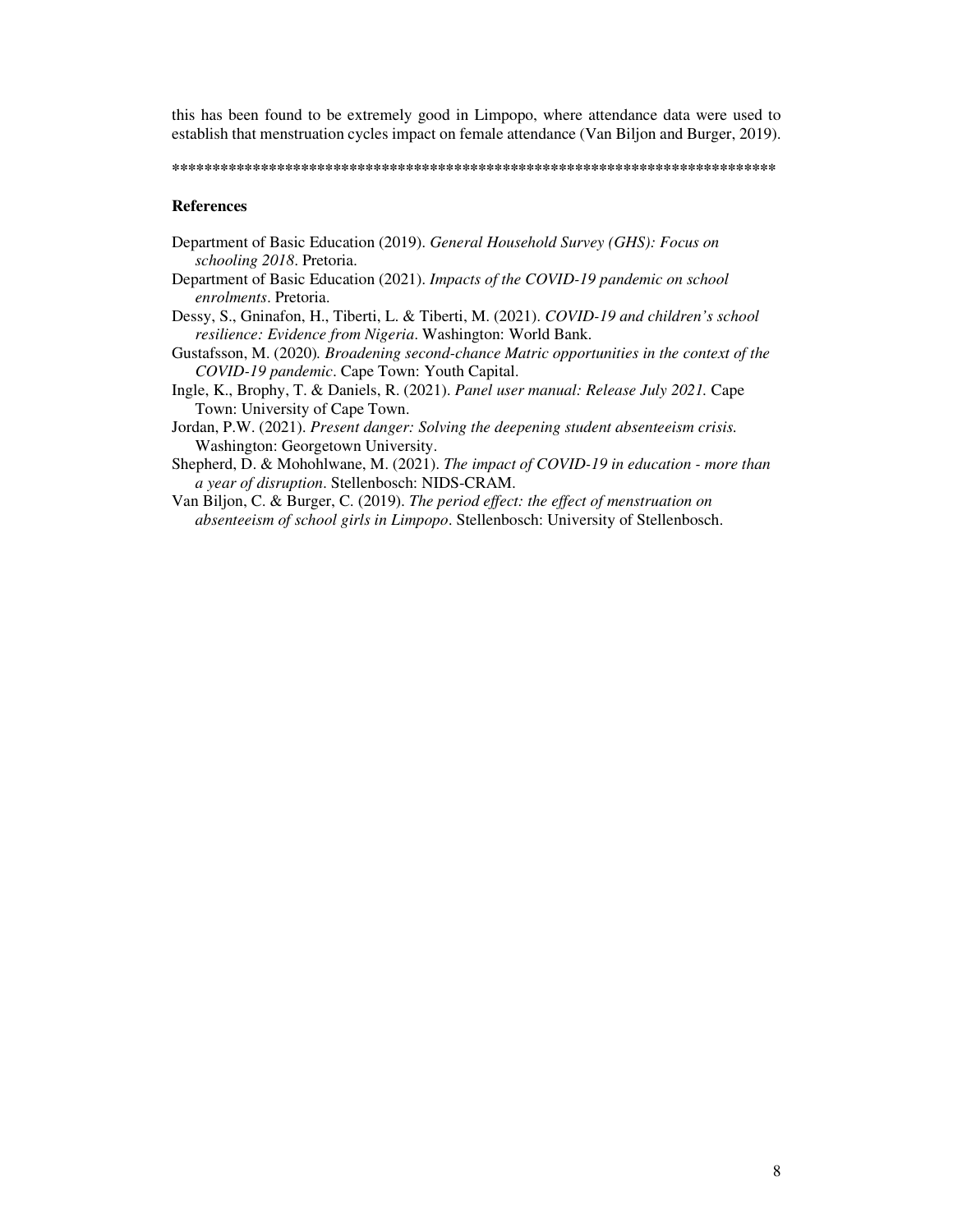this has been found to be extremely good in Limpopo, where attendance data were used to establish that menstruation cycles impact on female attendance (Van Biljon and Burger, 2019).

#### **\*\*\*\*\*\*\*\*\*\*\*\*\*\*\*\*\*\*\*\*\*\*\*\*\*\*\*\*\*\*\*\*\*\*\*\*\*\*\*\*\*\*\*\*\*\*\*\*\*\*\*\*\*\*\*\*\*\*\*\*\*\*\*\*\*\*\*\*\*\*\*\*\*\*\***

#### **References**

- Department of Basic Education (2019). *General Household Survey (GHS): Focus on schooling 2018*. Pretoria.
- Department of Basic Education (2021). *Impacts of the COVID-19 pandemic on school enrolments*. Pretoria.
- Dessy, S., Gninafon, H., Tiberti, L. & Tiberti, M. (2021). *COVID-19 and children's school resilience: Evidence from Nigeria*. Washington: World Bank.
- Gustafsson, M. (2020)*. Broadening second-chance Matric opportunities in the context of the COVID-19 pandemic*. Cape Town: Youth Capital.
- Ingle, K., Brophy, T. & Daniels, R. (2021). *Panel user manual: Release July 2021.* Cape Town: University of Cape Town.
- Jordan, P.W. (2021). *Present danger: Solving the deepening student absenteeism crisis.*  Washington: Georgetown University.
- Shepherd, D. & Mohohlwane, M. (2021). *The impact of COVID-19 in education more than a year of disruption*. Stellenbosch: NIDS-CRAM.
- Van Biljon, C. & Burger, C. (2019). *The period effect: the effect of menstruation on absenteeism of school girls in Limpopo*. Stellenbosch: University of Stellenbosch.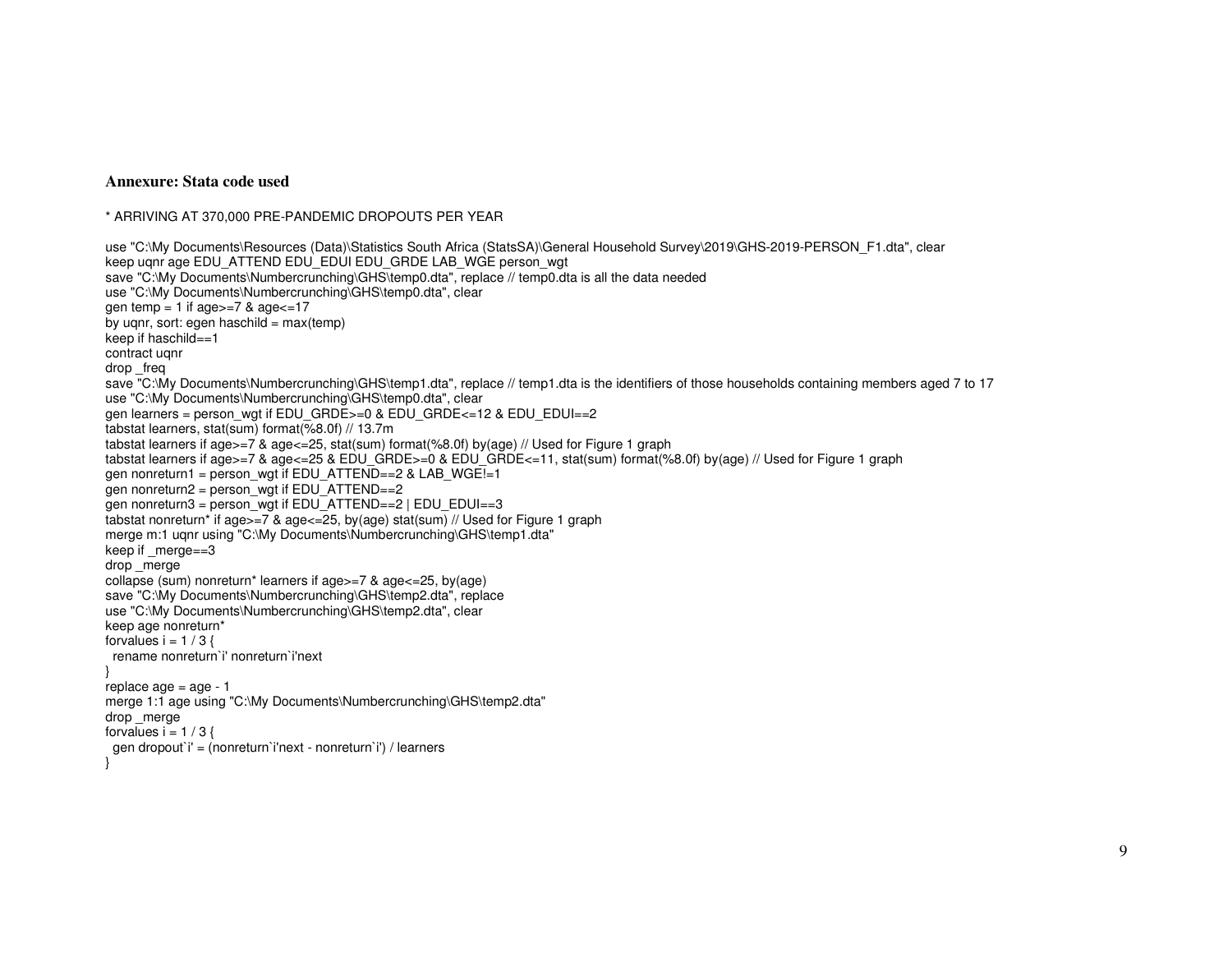#### **Annexure: Stata code used**

\* ARRIVING AT 370,000 PRE-PANDEMIC DROPOUTS PER YEAR

```
use "C:\My Documents\Resources (Data)\Statistics South Africa (StatsSA)\General Household Survey\2019\GHS-2019-PERSON_F1.dta", clear
keep ugnr age EDU_ATTEND EDU_EDUI EDU_GRDE LAB_WGE person_wgt

save "C:\My Documents\Numbercrunching\GHS\temp0.dta", replace // temp0.dta is all the data needed use "C:\My Documents\Numbercrunching\GHS\temp0.dta", clear gen temp = 1 if age>=7 & age<=17
by uqnr, sort: egen haschild = max(temp)
keep if haschild==1 contract uqnr drop _freq 
save "C:\My Documents\Numbercrunching\GHS\temp1.dta", replace // temp1.dta is the identifiers of those households containing members aged 7 to 17 use "C:\My Documents\Numbercrunching\GHS\temp0.dta", clear 
gen learners = person_wgt if EDU_GRDE>=0 & EDU_GRDE<=12 & EDU_EDUI==2 tabstat learners, stat(sum) format(%8.0f) // 13.7m 
tabstat learners if age>=7 & age<=25, stat(sum) format(%8.0f) by(age) // Used for Figure 1 graph 
tabstat learners if age>=7 & age<=25 & EDU_GRDE>=0 & EDU_GRDE<=11, stat(sum) format(%8.0f) by(age) // Used for Figure 1 graph gen nonreturn1 = person_wgt if EDU_ATTEND==2 & LAB_WGE!=1
gen nonreturn2 = person_wgt if EDU_ATTEND==2

gen nonreturn3 = person_wgt if EDU_ATTEND==2 | EDU_EDUI==3 
tabstat nonreturn* if age>=7 & age<=25, by(age) stat(sum) // Used for Figure 1 graph merge m:1 ugnr using "C:\My Documents\Numbercrunching\GHS\temp1.dta"
keep if merge==3
drop merge

collapse (sum) nonreturn* learners if age>=7 & age<=25, by(age) 
save "C:\My Documents\Numbercrunching\GHS\temp2.dta", replace use "C:\My Documents\Numbercrunching\GHS\temp2.dta", clear keep age nonreturn* forvalues i = 1 / 3 {

 rename nonreturn`i' nonreturn`i'next } 
replace age = age - 1 
merge 1:1 age using "C:\My Documents\Numbercrunching\GHS\temp2.dta" drop merge
forvalues i = 1 / 3 {

 gen dropout`i' = (nonreturn`i'next - nonreturn`i') / learners }
```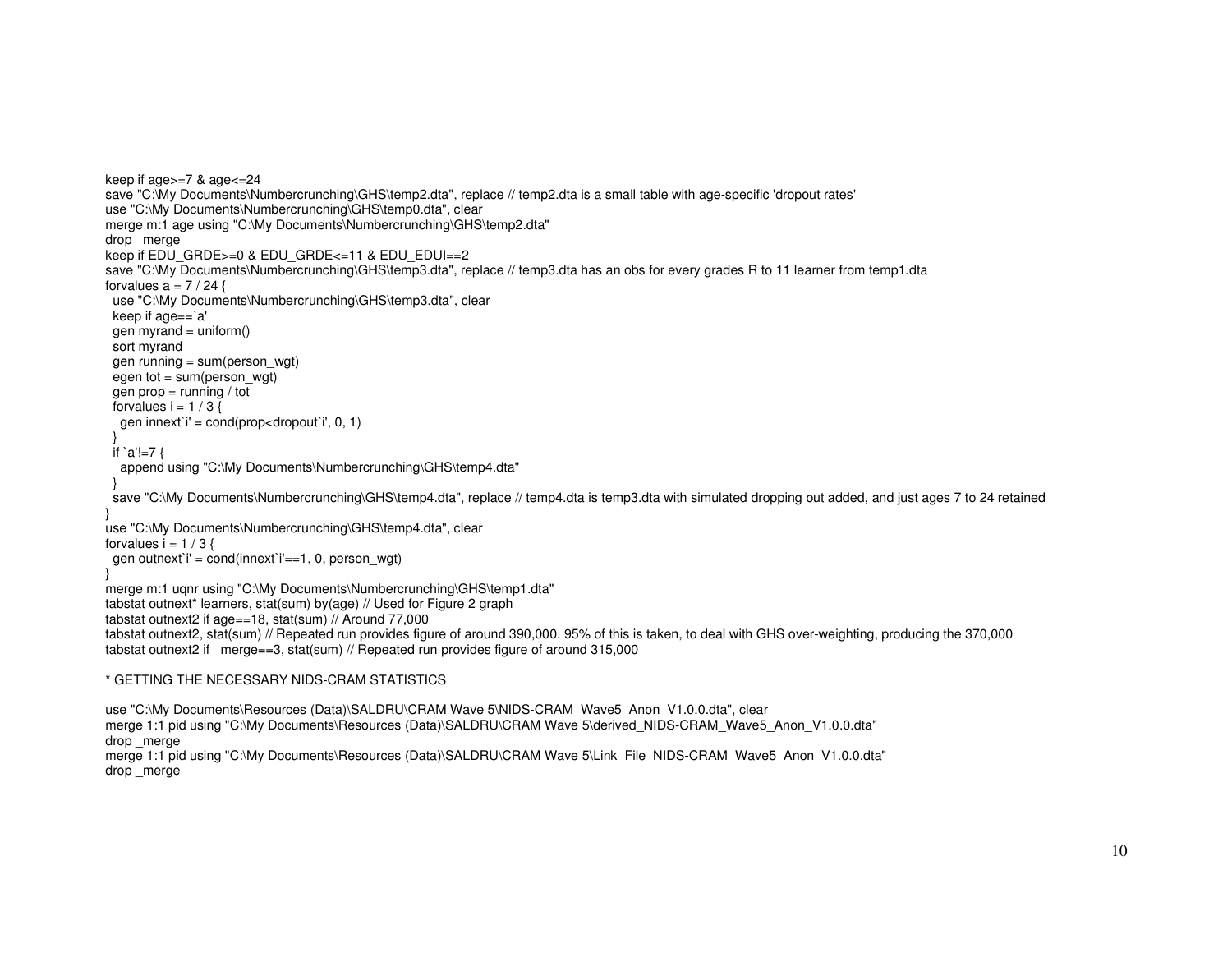keep if age>=7 & age<=24 save "C:\My Documents\Numbercrunching\GHS\temp2.dta", replace // temp2.dta is a small table with age-specific 'dropout rates' use "C:\My Documents\Numbercrunching\GHS\temp0.dta", clear merge m:1 age using "C:\My Documents\Numbercrunching\GHS\temp2.dta" drop merge keep if EDU\_GRDE>=0 & EDU\_GRDE<=11 & EDU\_EDUI==2 save "C:\My Documents\Numbercrunching\GHS\temp3.dta", replace // temp3.dta has an obs for every grades R to 11 learner from temp1.dta forvalues  $a = 7 / 24$  { use "C:\My Documents\Numbercrunching\GHS\temp3.dta", clear keep if age==`a' gen myrand =  $uniform()$  sort myrand gen running = sum(person\_wgt) egen tot =  $sum(person_wqt)$ gen  $prop = running / tot$ forvalues  $i = 1 / 3$  { gen innext`i' = cond(prop<dropout`i', 0, 1) } if `a'!=7 { append using "C:\My Documents\Numbercrunching\GHS\temp4.dta" } save "C:\My Documents\Numbercrunching\GHS\temp4.dta", replace // temp4.dta is temp3.dta with simulated dropping out added, and just ages 7 to 24 retained } use "C:\My Documents\Numbercrunching\GHS\temp4.dta", clear forvalues  $i = 1 / 3$  { gen outnext`i' = cond(innext`i'==1, 0, person\_wgt) } merge m:1 uqnr using "C:\My Documents\Numbercrunching\GHS\temp1.dta" tabstat outnext\* learners, stat(sum) by(age) // Used for Figure 2 graph tabstat outnext2 if age==18, stat(sum) // Around 77,000 tabstat outnext2, stat(sum) // Repeated run provides figure of around 390,000. 95% of this is taken, to deal with GHS over-weighting, producing the 370,000 tabstat outnext2 if merge==3, stat(sum) // Repeated run provides figure of around 315,000 \* GETTING THE NECESSARY NIDS-CRAM STATISTICS

use "C:\My Documents\Resources (Data)\SALDRU\CRAM Wave 5\NIDS-CRAM\_Wave5\_Anon\_V1.0.0.dta", clear merge 1:1 pid using "C:\My Documents\Resources (Data)\SALDRU\CRAM Wave 5\derived\_NIDS-CRAM\_Wave5\_Anon\_V1.0.0.dta" drop merge merge 1:1 pid using "C:\My Documents\Resources (Data)\SALDRU\CRAM Wave 5\Link\_File\_NIDS-CRAM\_Wave5\_Anon\_V1.0.0.dta" drop merge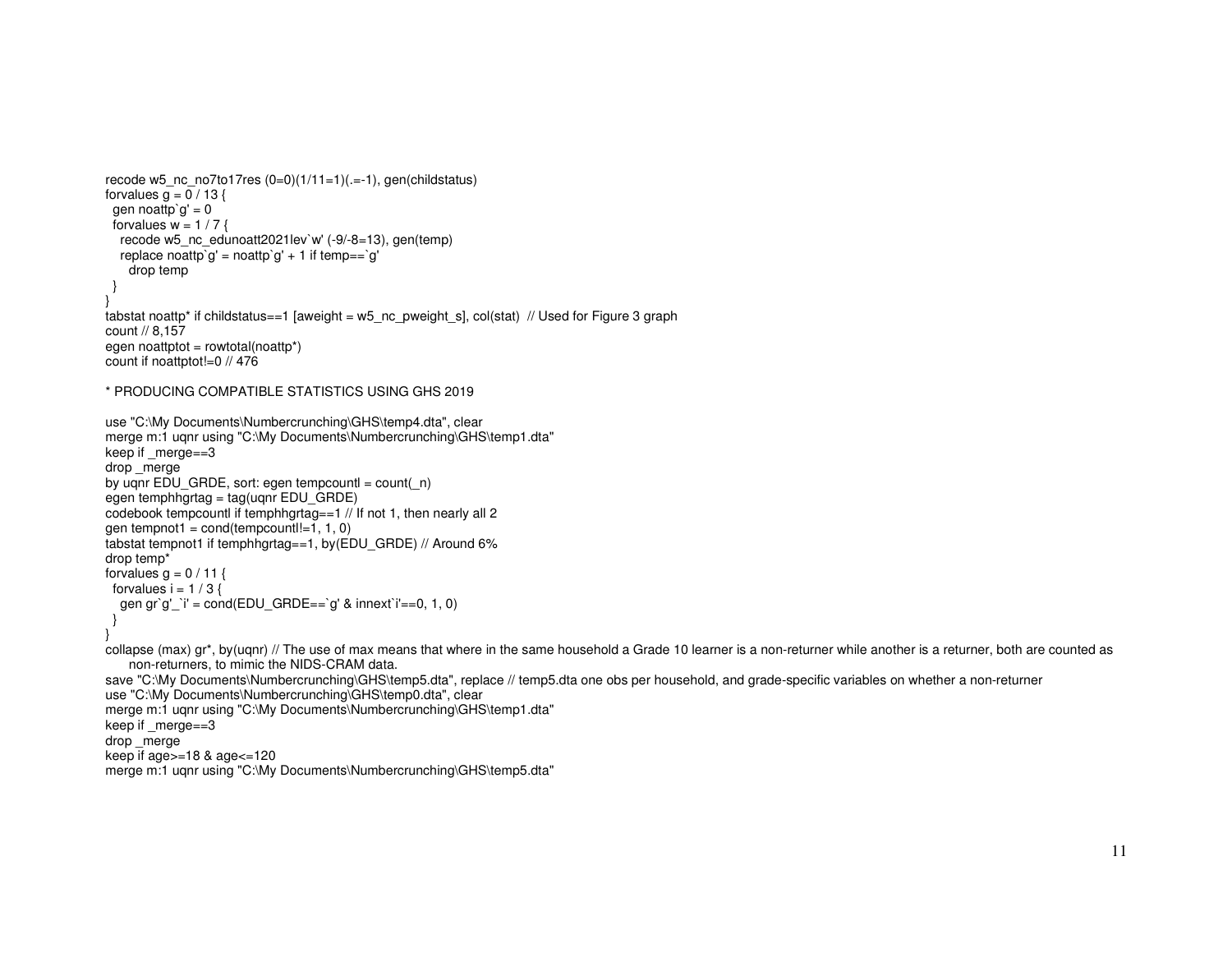```
recode w5_nc_no7to17res (0=0)(1/11=1)(.=-1), gen(childstatus)
forvalues g = 0 / 13 {
 gen noattp`g' = 0forvalues w = 1 / 7 {

 recode w5_nc_edunoatt2021lev`w' (-9/-8=13), gen(temp) replace noattp`g' = noattp`g' + 1 if temp==`g'
    drop temp  } } 
tabstat noattp* if childstatus==1 [aweight = w5_nc_pweight_s], col(stat) // Used for Figure 3 graph count // 8,157 
egen noattptot = rowtotal(noattp*) count if noattptot!=0 // 476 * PRODUCING COMPATIBLE STATISTICS USING GHS 2019 use "C:\My Documents\Numbercrunching\GHS\temp4.dta", clear 
merge m:1 uqnr using "C:\My Documents\Numbercrunching\GHS\temp1.dta" keep if _merge==3 drop merge
by uqnr EDU_GRDE, sort: egen tempcountl = count(_n)
egen temphhgrtag = tag(uqnr EDU_GRDE) 
codebook tempcountl if temphhgrtag==1 // If not 1, then nearly all 2 gen tempnot1 = cond(tempcount!=1, 1, 0)
tabstat tempnot1 if temphhgrtag==1, by(EDU_GRDE) // Around 6% drop temp* forvalues g = 0 / 11 {
 forvalues i = 1 / 3 {

 gen gr`g'_`i' = cond(EDU_GRDE==`g' & innext`i'==0, 1, 0)  } } collapse (max) gr*, by(uqnr) // The use of max means that where in the same household a Grade 10 learner is a non-returner while another is a returner, both are counted as
   non-returners, to mimic the NIDS-CRAM data. 
save "C:\My Documents\Numbercrunching\GHS\temp5.dta", replace // temp5.dta one obs per household, and grade-specific variables on whether a non-returner use "C:\My Documents\Numbercrunching\GHS\temp0.dta", clear 
merge m:1 uqnr using "C:\My Documents\Numbercrunching\GHS\temp1.dta" keep if merge==3
drop _merge 
keep if age>=18 & age<=120 
merge m:1 uqnr using "C:\My Documents\Numbercrunching\GHS\temp5.dta"
```